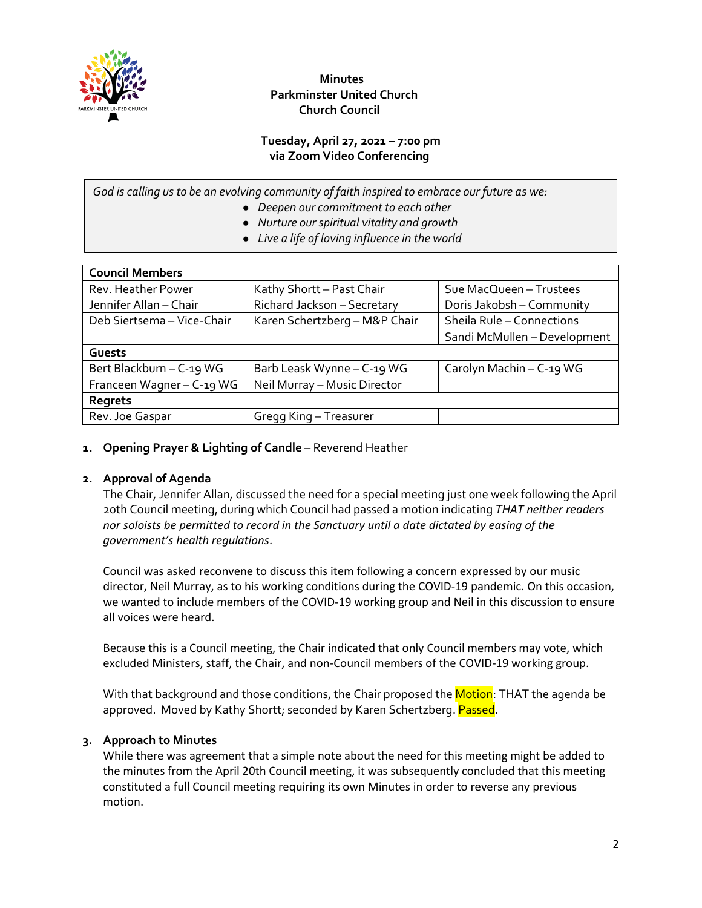

 **Minutes Parkminster United Church Church Council**

# **Tuesday, April 27, 2021 – 7:00 pm via Zoom Video Conferencing**

*God is calling us to be an evolving community of faith inspired to embrace our future as we:*

- *Deepen our commitment to each other*
- *Nurture our spiritual vitality and growth*
- *Live a life of loving influence in the world*

| <b>Council Members</b>     |                               |                              |
|----------------------------|-------------------------------|------------------------------|
| Rev. Heather Power         | Kathy Shortt - Past Chair     | Sue MacQueen - Trustees      |
| Jennifer Allan - Chair     | Richard Jackson - Secretary   | Doris Jakobsh - Community    |
| Deb Siertsema - Vice-Chair | Karen Schertzberg - M&P Chair | Sheila Rule - Connections    |
|                            |                               | Sandi McMullen - Development |
| Guests                     |                               |                              |
| Bert Blackburn - C-19 WG   | Barb Leask Wynne - C-19 WG    | Carolyn Machin - C-19 WG     |
| Franceen Wagner - C-19 WG  | Neil Murray - Music Director  |                              |
| Regrets                    |                               |                              |
| Rev. Joe Gaspar            | Gregg King – Treasurer        |                              |

### **1. Opening Prayer & Lighting of Candle** – Reverend Heather

#### **2. Approval of Agenda**

The Chair, Jennifer Allan, discussed the need for a special meeting just one week following the April 20th Council meeting, during which Council had passed a motion indicating *THAT neither readers nor soloists be permitted to record in the Sanctuary until a date dictated by easing of the government's health regulations*.

Council was asked reconvene to discuss this item following a concern expressed by our music director, Neil Murray, as to his working conditions during the COVID-19 pandemic. On this occasion, we wanted to include members of the COVID-19 working group and Neil in this discussion to ensure all voices were heard.

Because this is a Council meeting, the Chair indicated that only Council members may vote, which excluded Ministers, staff, the Chair, and non-Council members of the COVID-19 working group.

With that background and those conditions, the Chair proposed the **Motion**: THAT the agenda be approved. Moved by Kathy Shortt; seconded by Karen Schertzberg. Passed.

# **3. Approach to Minutes**

While there was agreement that a simple note about the need for this meeting might be added to the minutes from the April 20th Council meeting, it was subsequently concluded that this meeting constituted a full Council meeting requiring its own Minutes in order to reverse any previous motion.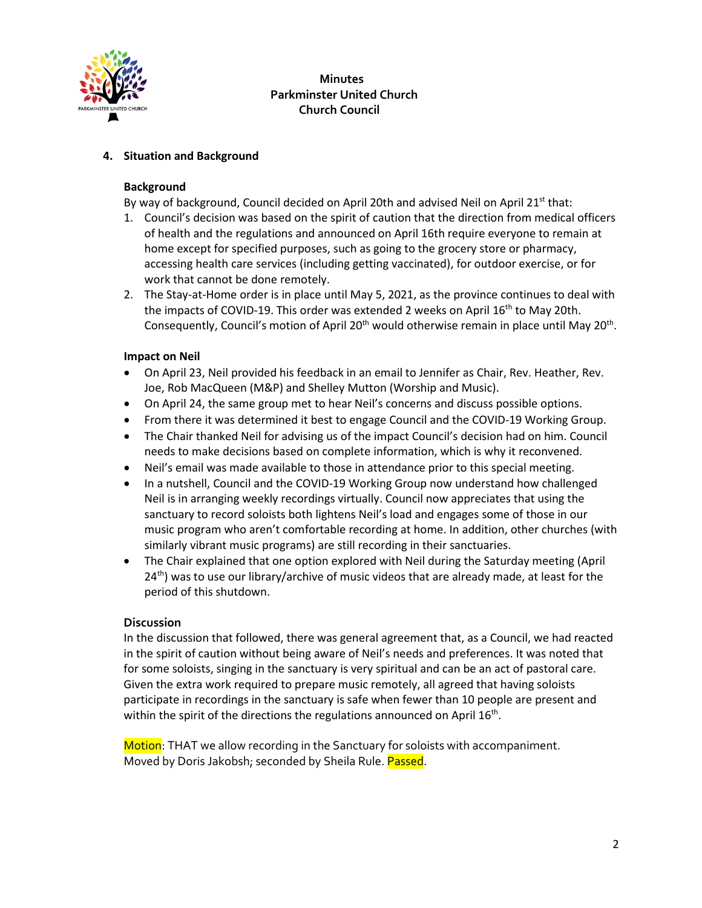

 **Minutes Parkminster United Church Church Council**

### **4. Situation and Background**

#### **Background**

By way of background, Council decided on April 20th and advised Neil on April 21<sup>st</sup> that:

- 1. Council's decision was based on the spirit of caution that the direction from medical officers of health and the regulations and announced on April 16th require everyone to remain at home except for specified purposes, such as going to the grocery store or pharmacy, accessing health care services (including getting vaccinated), for outdoor exercise, or for work that cannot be done remotely.
- 2. The Stay-at-Home order is in place until May 5, 2021, as the province continues to deal with the impacts of COVID-19. This order was extended 2 weeks on April  $16<sup>th</sup>$  to May 20th. Consequently, Council's motion of April 20<sup>th</sup> would otherwise remain in place until May 20<sup>th</sup>.

### **Impact on Neil**

- On April 23, Neil provided his feedback in an email to Jennifer as Chair, Rev. Heather, Rev. Joe, Rob MacQueen (M&P) and Shelley Mutton (Worship and Music).
- On April 24, the same group met to hear Neil's concerns and discuss possible options.
- From there it was determined it best to engage Council and the COVID-19 Working Group.
- The Chair thanked Neil for advising us of the impact Council's decision had on him. Council needs to make decisions based on complete information, which is why it reconvened.
- Neil's email was made available to those in attendance prior to this special meeting.
- In a nutshell, Council and the COVID-19 Working Group now understand how challenged Neil is in arranging weekly recordings virtually. Council now appreciates that using the sanctuary to record soloists both lightens Neil's load and engages some of those in our music program who aren't comfortable recording at home. In addition, other churches (with similarly vibrant music programs) are still recording in their sanctuaries.
- The Chair explained that one option explored with Neil during the Saturday meeting (April  $24<sup>th</sup>$ ) was to use our library/archive of music videos that are already made, at least for the period of this shutdown.

#### **Discussion**

In the discussion that followed, there was general agreement that, as a Council, we had reacted in the spirit of caution without being aware of Neil's needs and preferences. It was noted that for some soloists, singing in the sanctuary is very spiritual and can be an act of pastoral care. Given the extra work required to prepare music remotely, all agreed that having soloists participate in recordings in the sanctuary is safe when fewer than 10 people are present and within the spirit of the directions the regulations announced on April  $16<sup>th</sup>$ .

Motion: THAT we allow recording in the Sanctuary for soloists with accompaniment. Moved by Doris Jakobsh; seconded by Sheila Rule. Passed.